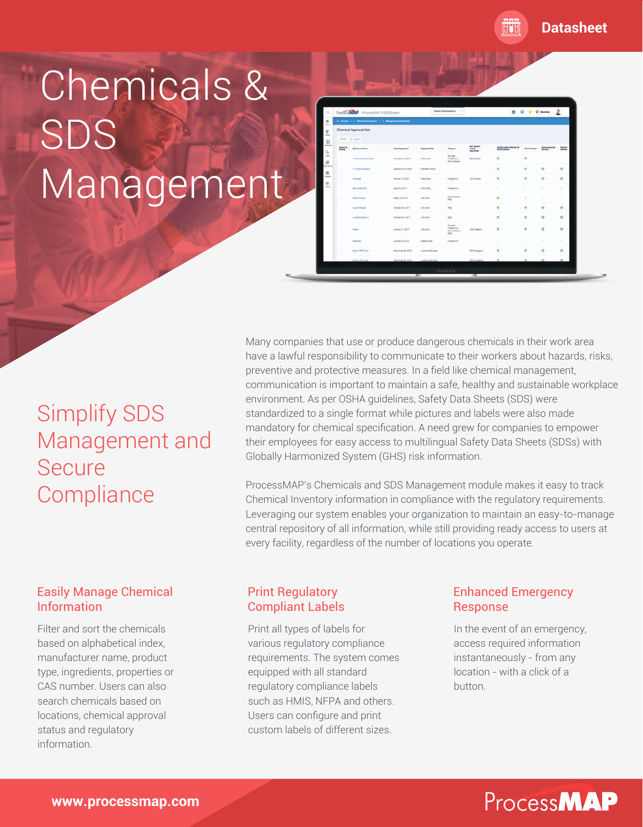**Datasheet**

# Chemicals & SDS Management

| Poeces MAP ProcessMAP EHSO System |                                                                                                                                                         |                       |                       | <b>Need Assistance</b><br>$\sim$<br>自                                     |                                        |                      | 2<br><b>Q</b> Westisks   |                           |                         |
|-----------------------------------|---------------------------------------------------------------------------------------------------------------------------------------------------------|-----------------------|-----------------------|---------------------------------------------------------------------------|----------------------------------------|----------------------|--------------------------|---------------------------|-------------------------|
|                                   | $\overline{\mathbb{H}}$ . Moodes, $\mathbb{H}^{\times}$ , $\mathbb{H}^{\times}$ therefore Management $\mathbb{H}^{\times}$ . Moodes approach Management |                       |                       |                                                                           |                                        |                      |                          |                           |                         |
|                                   | Chemical Approval List                                                                                                                                  |                       |                       |                                                                           |                                        |                      |                          |                           |                         |
|                                   | $Z$ ESI $=$ $\frac{1}{2}$ Equal                                                                                                                         |                       |                       |                                                                           |                                        |                      |                          |                           |                         |
| Solact nic<br>Colora              | <b>Chemical Henre</b>                                                                                                                                   | <b>Date Requested</b> | <b>Empressed Str</b>  | Parpress                                                                  | <b>EXC.Annual</b><br>Usepe<br>Approved | QADIDLANDCORN/Rotels | <b>E. G. H. Baselaim</b> | Ensiruanzantal<br>Ferrera | <b>FEACH</b><br>Declear |
| m                                 | 13 Directly) leshaling                                                                                                                                  | Fotouary 15, 2219     | Pater Back            | Domails -<br>Production.<br><b>Erlan' teneranco.</b>                      | 900 Galtero                            | ۰                    | ۰                        |                           |                         |
| m                                 | 11-tallistatus                                                                                                                                          | Departise 27, 2008    | <b>Envelop Chiros</b> |                                                                           |                                        | ۰                    | ۰                        | ۰                         | ۰                       |
| M                                 | <b>Tobuse</b>                                                                                                                                           | October 19, 2017      | Pany Eyok             | Production.                                                               | 100 Pounds                             | ö                    | ö                        | ō                         | ö                       |
|                                   | <b>ARD AN KITA</b>                                                                                                                                      | April 29, 2017        | The Duffy             | Ploketter,                                                                |                                        | ÷                    | $\sim$                   | ÷                         | $\sim$                  |
|                                   | OWNERSEE                                                                                                                                                | March SA, 2017        | John Box              | <b><i><u>Efail telescope</u></i></b><br>rax.                              |                                        | ø                    | w.                       | ÷                         |                         |
|                                   | <b>Todd Minger</b>                                                                                                                                      | February 06.3317      | John Doe              | FIRST.                                                                    |                                        | ø                    | O                        | ۰                         | $\circ$                 |
| ÷.                                | Ligald Monges 2                                                                                                                                         | February DE SITTP     | John Boe              | ran.                                                                      |                                        | ø                    | ۰                        | ۰                         | ۰                       |
| м                                 | Angle                                                                                                                                                   | January 11, DOUT      | John Dos              | Sattale<br>Production.<br><b><i><u>Microstoner</u></i></b><br><b>FAIX</b> | 1000 Ealtons                           | ۰                    | ö                        | ö                         | $\circ$                 |
|                                   | <b>Devillers</b>                                                                                                                                        | January 03, 0017.     | Intubely Vitam        | Production.                                                               |                                        |                      | ٠                        | ÷                         |                         |
| w                                 | Kepler-PPPT Dile                                                                                                                                        | Newman 36, 3116       | Localise/Manager      |                                                                           | 300 Khopsens                           | ö                    | o                        | ۰                         | $\ddot{\circ}$          |
|                                   | <b>XWan RFPC Date</b>                                                                                                                                   | November 36, 3976.    | Location Manager      |                                                                           | 300 Kougama                            | a.                   | e.                       | n                         |                         |

## Simplify SDS Management and **Secure Compliance**

Many companies that use or produce dangerous chemicals in their work area have a lawful responsibility to communicate to their workers about hazards, risks, preventive and protective measures. In a field like chemical management, communication is important to maintain a safe, healthy and sustainable workplace environment. As per OSHA guidelines, Safety Data Sheets (SDS) were standardized to a single format while pictures and labels were also made mandatory for chemical specification. A need grew for companies to empower their employees for easy access to multilingual Safety Data Sheets (SDSs) with Globally Harmonized System (GHS) risk information.

ProcessMAP's Chemicals and SDS Management module makes it easy to track Chemical Inventory information in compliance with the regulatory requirements. Leveraging our system enables your organization to maintain an easy-to-manage central repository of all information, while still providing ready access to users at every facility, regardless of the number of locations you operate.

#### Easily Manage Chemical Information

Filter and sort the chemicals based on alphabetical index, manufacturer name, product type, ingredients, properties or CAS number. Users can also search chemicals based on locations, chemical approval status and regulatory information.

#### Print Regulatory Compliant Labels

Print all types of labels for various regulatory compliance requirements. The system comes equipped with all standard regulatory compliance labels such as HMIS, NFPA and others. Users can configure and print custom labels of different sizes.

#### Enhanced Emergency Response

In the event of an emergency, access required information instantaneously - from any location - with a click of a button.